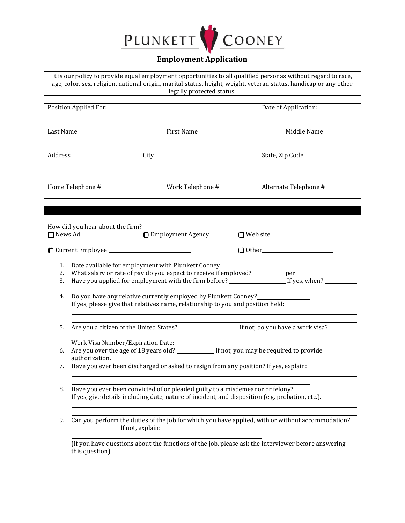

## **Employment Application**

It is our policy to provide equal employment opportunities to all qualified personas without regard to race, age, color, sex, religion, national origin, marital status, height, weight, veteran status, handicap or any other legally protected status.

|                      | <b>Position Applied For:</b>                                                                                                                                                                                                                                                                                                          |                                                                                                   | Date of Application:                                                                                                                                                                                                          |  |  |
|----------------------|---------------------------------------------------------------------------------------------------------------------------------------------------------------------------------------------------------------------------------------------------------------------------------------------------------------------------------------|---------------------------------------------------------------------------------------------------|-------------------------------------------------------------------------------------------------------------------------------------------------------------------------------------------------------------------------------|--|--|
| Last Name            |                                                                                                                                                                                                                                                                                                                                       | <b>First Name</b>                                                                                 | Middle Name                                                                                                                                                                                                                   |  |  |
| Address              |                                                                                                                                                                                                                                                                                                                                       | City                                                                                              | State, Zip Code                                                                                                                                                                                                               |  |  |
| Home Telephone #     |                                                                                                                                                                                                                                                                                                                                       | Work Telephone #                                                                                  | Alternate Telephone #                                                                                                                                                                                                         |  |  |
| □ News Ad            | How did you hear about the firm?                                                                                                                                                                                                                                                                                                      | <b>□ Employment Agency</b>                                                                        | <b>□</b> Web site                                                                                                                                                                                                             |  |  |
|                      |                                                                                                                                                                                                                                                                                                                                       |                                                                                                   |                                                                                                                                                                                                                               |  |  |
| 1.<br>2.<br>3.<br>4. | Date available for employment with Plunkett Cooney _____________________________<br>What salary or rate of pay do you expect to receive if employed? __________ per ___________<br>Do you have any relative currently employed by Plunkett Cooney?<br>If yes, please give that relatives name, relationship to you and position held: |                                                                                                   |                                                                                                                                                                                                                               |  |  |
| 5.                   |                                                                                                                                                                                                                                                                                                                                       |                                                                                                   | Are you a citizen of the United States? In the set of the United States of the United States of the United States of the United States of the United States of the United States of the United States of the United States of |  |  |
| 6.<br>7.             | authorization.                                                                                                                                                                                                                                                                                                                        | Have you ever been discharged or asked to resign from any position? If yes, explain: ____________ |                                                                                                                                                                                                                               |  |  |
|                      | 8. Have you ever been convicted of or pleaded guilty to a misdemeanor or felony? ____<br>If yes, give details including date, nature of incident, and disposition (e.g. probation, etc.).                                                                                                                                             |                                                                                                   |                                                                                                                                                                                                                               |  |  |
| 9.                   | Can you perform the duties of the job for which you have applied, with or without accommodation?                                                                                                                                                                                                                                      |                                                                                                   |                                                                                                                                                                                                                               |  |  |
|                      | this question).                                                                                                                                                                                                                                                                                                                       |                                                                                                   | (If you have questions about the functions of the job, please ask the interviewer before answering                                                                                                                            |  |  |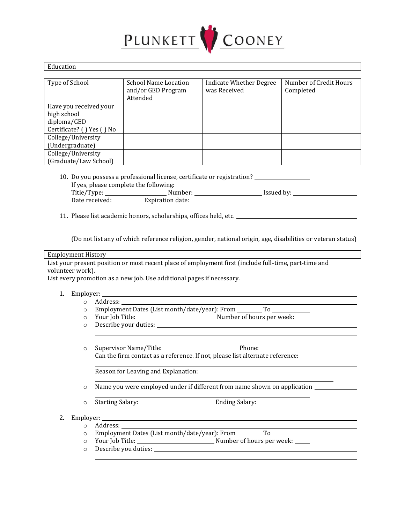

| Education                 |                             |                                |                        |  |  |  |
|---------------------------|-----------------------------|--------------------------------|------------------------|--|--|--|
|                           |                             |                                |                        |  |  |  |
| Type of School            | <b>School Name Location</b> | <b>Indicate Whether Degree</b> | Number of Credit Hours |  |  |  |
|                           | and/or GED Program          | was Received                   | Completed              |  |  |  |
|                           | Attended                    |                                |                        |  |  |  |
| Have you received your    |                             |                                |                        |  |  |  |
| high school               |                             |                                |                        |  |  |  |
| diploma/GED               |                             |                                |                        |  |  |  |
| Certificate? () Yes () No |                             |                                |                        |  |  |  |
| College/University        |                             |                                |                        |  |  |  |
| (Undergraduate)           |                             |                                |                        |  |  |  |
| College/University        |                             |                                |                        |  |  |  |
| (Graduate/Law School)     |                             |                                |                        |  |  |  |

- 10. Do you possess a professional license, certificate or registration? If yes, please complete the following: Title/Type: Number: Issued by: Date received: Expiration date:
- 11. Please list academic honors, scholarships, offices held, etc.

(Do not list any of which reference religion, gender, national origin, age, disabilities or veteran status)

<u> 1980 - Johann Barn, mars ann an t-Amhain Aonaich an t-Aonaich an t-Aonaich ann an t-Aonaich ann an t-Aonaich</u>

<u> 1989 - Johann Barn, mars ann an t-Amhain Aonaich an t-Aonaich an t-Aonaich ann an t-Aonaich ann an t-Aonaich</u>

Employment History

List your present position or most recent place of employment first (include full-time, part-time and volunteer work).

List every promotion as a new job. Use additional pages if necessary.

- 1. Employer:
	- o Address:
		- o Employment Dates (List month/date/year): From \_\_\_\_\_\_\_\_\_\_\_\_\_\_\_\_\_\_\_\_\_\_\_\_\_\_\_\_\_\_\_\_
	- o Your Job Title: Number of hours per week: o Describe your duties:
		-
	- o Supervisor Name/Title: 2000 2000 2010 Phone: Can the firm contact as a reference. If not, please list alternate reference:

Reason for Leaving and Explanation:

- o Name you were employed under if different from name shown on application
- o Starting Salary: Ending Salary:
- 2. Employer:
	- o Address:
	- o Employment Dates (List month/date/year): From To
	- o Your Job Title: Number of hours per week:
	- o Describe you duties: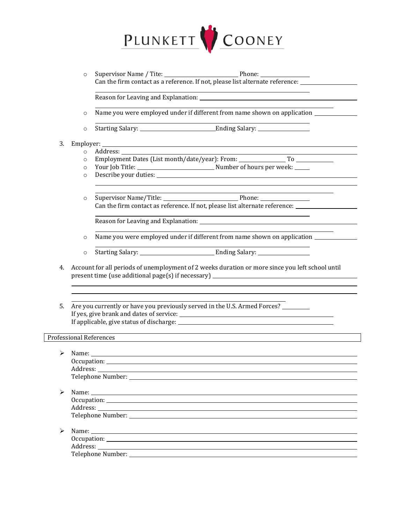

o Supervisor Name / Tite: Phone: Can the firm contact as a reference. If not, please list alternate reference:  $\frac{1}{\sqrt{1-\frac{1}{n}}}\left| \frac{1}{n^{2}} \right|$ 

Reason for Leaving and Explanation:

- o Name you were employed under if different from name shown on application
- o Starting Salary: <u>Chamber and Ending Salary:</u>

## 3. Employer:

- o Address:
- o Employment Dates (List month/date/year): From: \_\_\_\_\_\_\_\_\_\_\_\_\_\_\_\_\_\_\_\_\_\_\_\_\_\_\_\_\_\_\_
- o Your Job Title: Number of hours per week:
- o Describe your duties:
- o Supervisor Name/Title: Phone: Can the firm contact as reference. If not, please list alternate reference:

Reason for Leaving and Explanation:

- o Name you were employed under if different from name shown on application
- o Starting Salary: Ending Salary:

- 4. Account for all periods of unemployment of 2 weeks duration or more since you left school until present time (use additional page(s) if necessary) \_\_\_\_\_\_\_\_\_\_\_\_\_\_\_\_\_\_\_\_\_\_\_\_\_\_\_\_\_
- 5. Are you currently or have you previously served in the U.S. Armed Forces? If yes, give brank and dates of service: If applicable, give status of discharge:

## Professional References

|   | Name: $\sqrt{2\pi r}$                                   |
|---|---------------------------------------------------------|
|   |                                                         |
|   |                                                         |
|   |                                                         |
|   |                                                         |
| ➤ | Name: Name:                                             |
|   |                                                         |
|   |                                                         |
|   |                                                         |
|   |                                                         |
|   | Name:                                                   |
|   |                                                         |
|   |                                                         |
|   | Telephone Number: National Science of Telephone Number: |